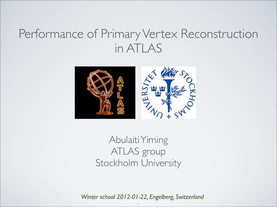## Performance of Primary Vertex Reconstruction in ATLAS



Abulaiti Yiming ATLAS group Stockholm University

*Winter school 2012-01-22, Engelberg, Switzerland*

1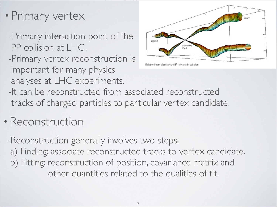- •Primary vertex
	- -Primary interaction point of the PP collision at LHC.
	- -Primary vertex reconstruction is important for many physics analyses at LHC experiments.



- Relative beam sizes around IP1 (Atlas) in collision
- -It can be reconstructed from associated reconstructed tracks of charged particles to particular vertex candidate.
- •Reconstruction

-Reconstruction generally involves two steps: a) Finding: associate reconstructed tracks to vertex candidate. b) Fitting: reconstruction of position, covariance matrix and other quantities related to the qualities of fit.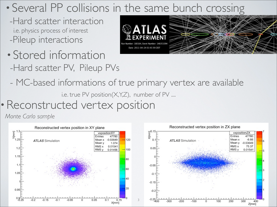## • Several PP collisions in the same bunch crossing

- -Hard scatter interaction i.e. physics process of interest -Pileup interactions
- Stored information -Hard scatter PV, Pileup PVs



- MC-based informations of true primary vertex are available

i.e. true PV position(X,Y,Z), number of PV ....

•Reconstructed vertex position

*Monte Carlo sample*

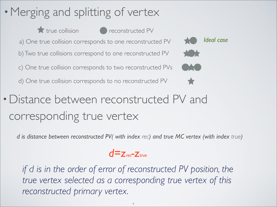## • Merging and splitting of vertex







•Distance between reconstructed PV and corresponding true vertex

*d is distance between reconstructed PV( with index rec) and true MC vertex (with index true)*



*if d is in the order of error of reconstructed PV position, the true vertex selected as a corresponding true vertex of this reconstructed primary vertex.*